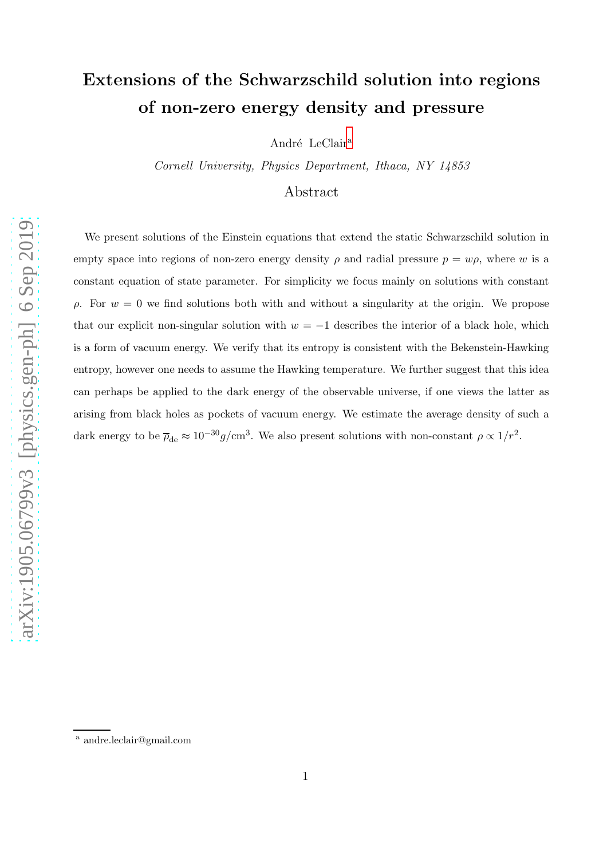# Extensions of the Schwarzschild solution into regions of non-zero energy density and pressure

André LeCl[a](#page-0-0)ir<sup>a</sup>

Cornell University, Physics Department, Ithaca, NY 14853

Abstract

We present solutions of the Einstein equations that extend the static Schwarzschild solution in empty space into regions of non-zero energy density  $\rho$  and radial pressure  $p = w\rho$ , where w is a constant equation of state parameter. For simplicity we focus mainly on solutions with constant  $ρ$ . For  $w = 0$  we find solutions both with and without a singularity at the origin. We propose that our explicit non-singular solution with  $w = -1$  describes the interior of a black hole, which is a form of vacuum energy. We verify that its entropy is consistent with the Bekenstein-Hawking entropy, however one needs to assume the Hawking temperature. We further suggest that this idea can perhaps be applied to the dark energy of the observable universe, if one views the latter as arising from black holes as pockets of vacuum energy. We estimate the average density of such a dark energy to be  $\overline{\rho}_{de} \approx 10^{-30} g/cm^3$ . We also present solutions with non-constant  $\rho \propto 1/r^2$ .

<span id="page-0-0"></span><sup>a</sup> andre.leclair@gmail.com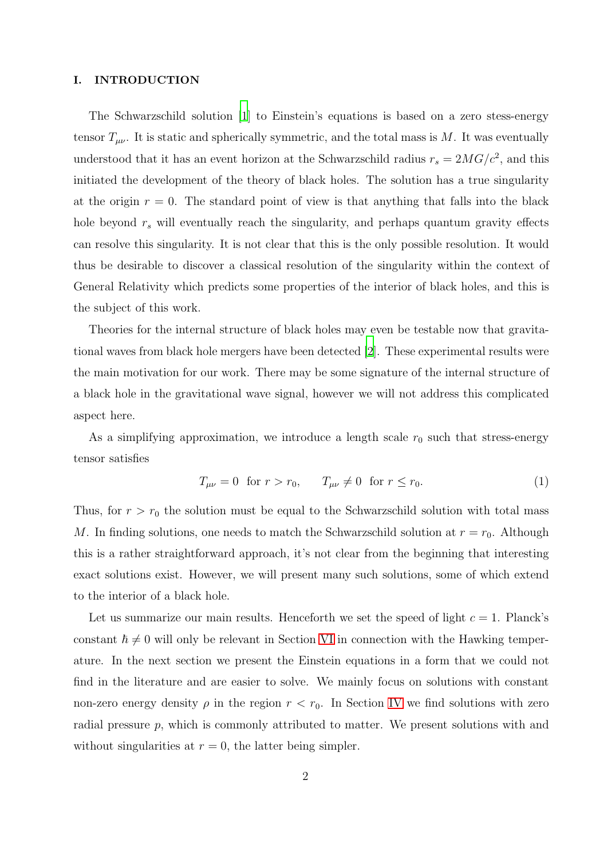### I. INTRODUCTION

The Schwarzschild solution [\[1\]](#page-15-0) to Einstein's equations is based on a zero stess-energy tensor  $T_{\mu\nu}$ . It is static and spherically symmetric, and the total mass is M. It was eventually understood that it has an event horizon at the Schwarzschild radius  $r_s = 2MG/c^2$ , and this initiated the development of the theory of black holes. The solution has a true singularity at the origin  $r = 0$ . The standard point of view is that anything that falls into the black hole beyond  $r<sub>s</sub>$  will eventually reach the singularity, and perhaps quantum gravity effects can resolve this singularity. It is not clear that this is the only possible resolution. It would thus be desirable to discover a classical resolution of the singularity within the context of General Relativity which predicts some properties of the interior of black holes, and this is the subject of this work.

Theories for the internal structure of black holes may even be testable now that gravitational waves from black hole mergers have been detected [\[2\]](#page-15-1). These experimental results were the main motivation for our work. There may be some signature of the internal structure of a black hole in the gravitational wave signal, however we will not address this complicated aspect here.

As a simplifying approximation, we introduce a length scale  $r_0$  such that stress-energy tensor satisfies

<span id="page-1-0"></span>
$$
T_{\mu\nu} = 0 \text{ for } r > r_0, \qquad T_{\mu\nu} \neq 0 \text{ for } r \le r_0. \tag{1}
$$

Thus, for  $r > r_0$  the solution must be equal to the Schwarzschild solution with total mass M. In finding solutions, one needs to match the Schwarzschild solution at  $r = r_0$ . Although this is a rather straightforward approach, it's not clear from the beginning that interesting exact solutions exist. However, we will present many such solutions, some of which extend to the interior of a black hole.

Let us summarize our main results. Henceforth we set the speed of light  $c = 1$ . Planck's constant  $\hbar \neq 0$  will only be relevant in Section [VI](#page-10-0) in connection with the Hawking temperature. In the next section we present the Einstein equations in a form that we could not find in the literature and are easier to solve. We mainly focus on solutions with constant non-zero energy density  $\rho$  in the region  $r < r_0$ . In Section [IV](#page-5-0) we find solutions with zero radial pressure p, which is commonly attributed to matter. We present solutions with and without singularities at  $r = 0$ , the latter being simpler.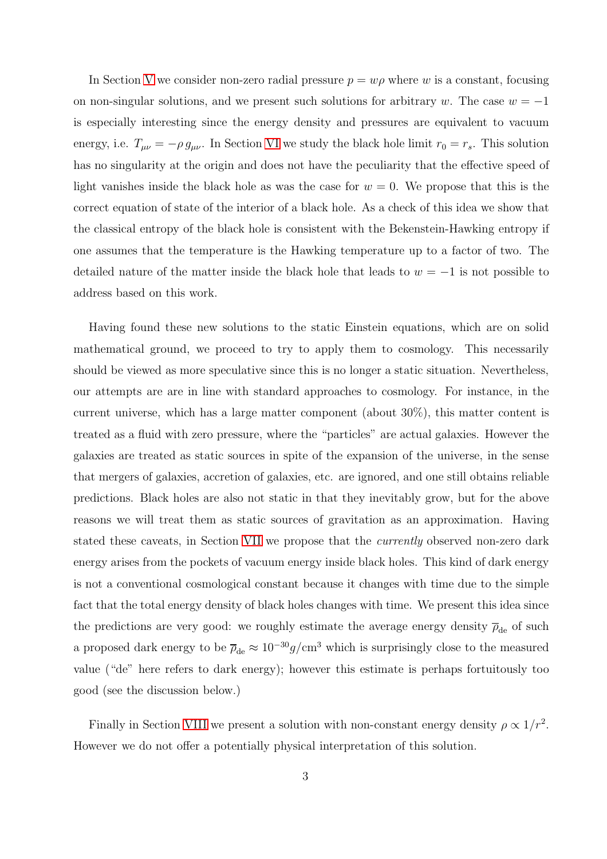In Section [V](#page-9-0) we consider non-zero radial pressure  $p = w\rho$  where w is a constant, focusing on non-singular solutions, and we present such solutions for arbitrary w. The case  $w = -1$ is especially interesting since the energy density and pressures are equivalent to vacuum energy, i.e.  $T_{\mu\nu} = -\rho g_{\mu\nu}$ . In Section [VI](#page-10-0) we study the black hole limit  $r_0 = r_s$ . This solution has no singularity at the origin and does not have the peculiarity that the effective speed of light vanishes inside the black hole as was the case for  $w = 0$ . We propose that this is the correct equation of state of the interior of a black hole. As a check of this idea we show that the classical entropy of the black hole is consistent with the Bekenstein-Hawking entropy if one assumes that the temperature is the Hawking temperature up to a factor of two. The detailed nature of the matter inside the black hole that leads to  $w = -1$  is not possible to address based on this work.

Having found these new solutions to the static Einstein equations, which are on solid mathematical ground, we proceed to try to apply them to cosmology. This necessarily should be viewed as more speculative since this is no longer a static situation. Nevertheless, our attempts are are in line with standard approaches to cosmology. For instance, in the current universe, which has a large matter component (about 30%), this matter content is treated as a fluid with zero pressure, where the "particles" are actual galaxies. However the galaxies are treated as static sources in spite of the expansion of the universe, in the sense that mergers of galaxies, accretion of galaxies, etc. are ignored, and one still obtains reliable predictions. Black holes are also not static in that they inevitably grow, but for the above reasons we will treat them as static sources of gravitation as an approximation. Having stated these caveats, in Section [VII](#page-11-0) we propose that the currently observed non-zero dark energy arises from the pockets of vacuum energy inside black holes. This kind of dark energy is not a conventional cosmological constant because it changes with time due to the simple fact that the total energy density of black holes changes with time. We present this idea since the predictions are very good: we roughly estimate the average energy density  $\overline{\rho}_{\rm de}$  of such a proposed dark energy to be  $\overline{\rho}_{de} \approx 10^{-30} g/cm^3$  which is surprisingly close to the measured value ("de" here refers to dark energy); however this estimate is perhaps fortuitously too good (see the discussion below.)

Finally in Section [VIII](#page-12-0) we present a solution with non-constant energy density  $\rho \propto 1/r^2$ . However we do not offer a potentially physical interpretation of this solution.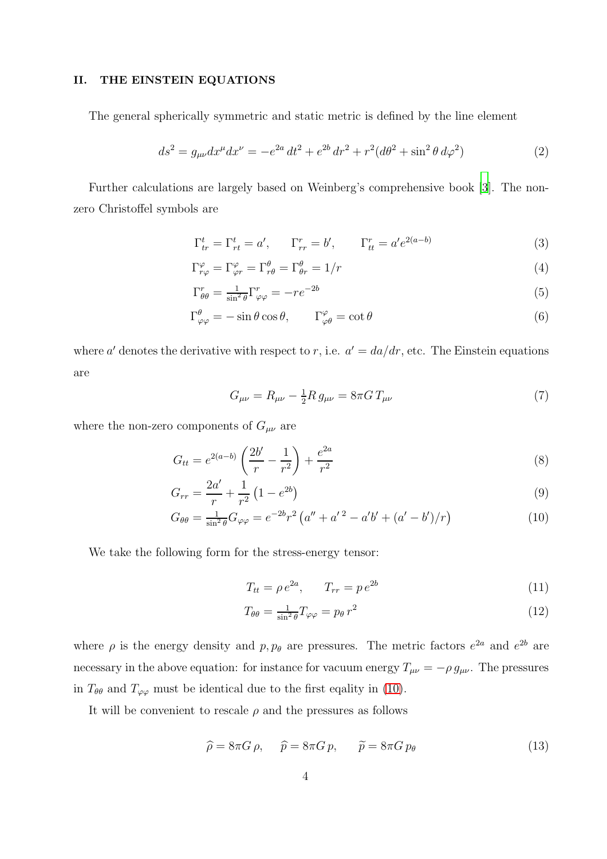# II. THE EINSTEIN EQUATIONS

The general spherically symmetric and static metric is defined by the line element

$$
ds^{2} = g_{\mu\nu}dx^{\mu}dx^{\nu} = -e^{2a}dt^{2} + e^{2b}dr^{2} + r^{2}(d\theta^{2} + \sin^{2}\theta \, d\varphi^{2})
$$
\n(2)

Further calculations are largely based on Weinberg's comprehensive book [\[3](#page-15-2)]. The nonzero Christoffel symbols are

$$
\Gamma_{tr}^t = \Gamma_{rt}^t = a', \qquad \Gamma_{rr}^r = b', \qquad \Gamma_{tt}^r = a'e^{2(a-b)} \tag{3}
$$

$$
\Gamma^{\varphi}_{r\varphi} = \Gamma^{\varphi}_{\varphi r} = \Gamma^{\theta}_{r\theta} = \Gamma^{\theta}_{\theta r} = 1/r \tag{4}
$$

$$
\Gamma^r_{\theta\theta} = \frac{1}{\sin^2 \theta} \Gamma^r_{\varphi\varphi} = -r e^{-2b} \tag{5}
$$

$$
\Gamma^{\theta}_{\varphi\varphi} = -\sin\theta\cos\theta, \qquad \Gamma^{\varphi}_{\varphi\theta} = \cot\theta \tag{6}
$$

where a' denotes the derivative with respect to r, i.e.  $a' = da/dr$ , etc. The Einstein equations are

$$
G_{\mu\nu} = R_{\mu\nu} - \frac{1}{2} R \, g_{\mu\nu} = 8\pi G \, T_{\mu\nu} \tag{7}
$$

where the non-zero components of  $G_{\mu\nu}$  are

<span id="page-3-0"></span>
$$
G_{tt} = e^{2(a-b)} \left( \frac{2b'}{r} - \frac{1}{r^2} \right) + \frac{e^{2a}}{r^2}
$$
 (8)

$$
G_{rr} = \frac{2a'}{r} + \frac{1}{r^2} \left( 1 - e^{2b} \right) \tag{9}
$$

$$
G_{\theta\theta} = \frac{1}{\sin^2 \theta} G_{\varphi\varphi} = e^{-2b} r^2 \left( a'' + a'^2 - a'b' + (a' - b')/r \right)
$$
(10)

We take the following form for the stress-energy tensor:

$$
T_{tt} = \rho \, e^{2a}, \qquad T_{rr} = p \, e^{2b} \tag{11}
$$

$$
T_{\theta\theta} = \frac{1}{\sin^2 \theta} T_{\varphi\varphi} = p_\theta r^2 \tag{12}
$$

where  $\rho$  is the energy density and  $p, p_{\theta}$  are pressures. The metric factors  $e^{2a}$  and  $e^{2b}$  are necessary in the above equation: for instance for vacuum energy  $T_{\mu\nu} = -\rho g_{\mu\nu}$ . The pressures in  $T_{\theta\theta}$  and  $T_{\varphi\varphi}$  must be identical due to the first eqality in [\(10\)](#page-3-0).

It will be convenient to rescale  $\rho$  and the pressures as follows

$$
\widehat{\rho} = 8\pi G \,\rho, \qquad \widehat{p} = 8\pi G \,p, \qquad \widetilde{p} = 8\pi G \,p_{\theta} \tag{13}
$$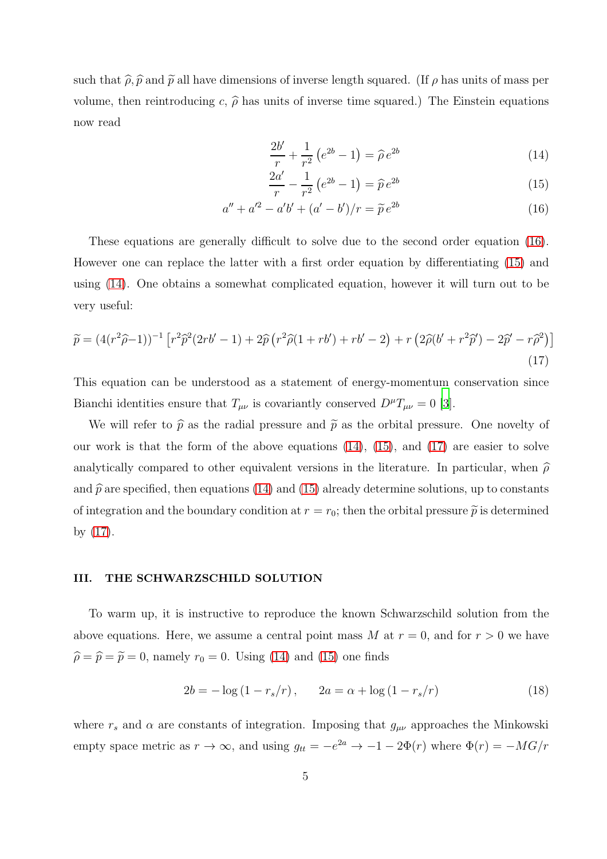such that  $\hat{\rho}, \hat{p}$  and  $\tilde{p}$  all have dimensions of inverse length squared. (If  $\rho$  has units of mass per volume, then reintroducing c,  $\hat{\rho}$  has units of inverse time squared.) The Einstein equations now read

<span id="page-4-0"></span>
$$
\frac{2b'}{r} + \frac{1}{r^2} \left( e^{2b} - 1 \right) = \hat{\rho} e^{2b} \tag{14}
$$

$$
\frac{2a'}{r} - \frac{1}{r^2} \left( e^{2b} - 1 \right) = \hat{p} e^{2b} \tag{15}
$$

$$
a'' + a'^2 - a'b' + (a' - b')/r = \tilde{p}e^{2b}
$$
 (16)

These equations are generally difficult to solve due to the second order equation [\(16\)](#page-4-0). However one can replace the latter with a first order equation by differentiating [\(15\)](#page-4-0) and using [\(14\)](#page-4-0). One obtains a somewhat complicated equation, however it will turn out to be very useful:

<span id="page-4-1"></span>
$$
\widetilde{p} = (4(r^2\widehat{\rho}-1))^{-1} \left[ r^2 \widehat{p}^2 (2rb'-1) + 2\widehat{p} \left( r^2 \widehat{\rho} (1+rb') + rb'-2 \right) + r \left( 2\widehat{\rho} (b'+r^2\widehat{p}') - 2\widehat{p}' - r\widehat{\rho}^2 \right) \right]
$$
\n(17)

This equation can be understood as a statement of energy-momentum conservation since Bianchi identities ensure that  $T_{\mu\nu}$  is covariantly conserved  $D^{\mu}T_{\mu\nu} = 0$  [\[3](#page-15-2)].

We will refer to  $\hat{p}$  as the radial pressure and  $\tilde{p}$  as the orbital pressure. One novelty of our work is that the form of the above equations  $(14)$ ,  $(15)$ , and  $(17)$  are easier to solve analytically compared to other equivalent versions in the literature. In particular, when  $\hat{\rho}$ and  $\hat{p}$  are specified, then equations [\(14\)](#page-4-0) and [\(15\)](#page-4-0) already determine solutions, up to constants of integration and the boundary condition at  $r = r_0$ ; then the orbital pressure  $\tilde{p}$  is determined by [\(17\)](#page-4-1).

# III. THE SCHWARZSCHILD SOLUTION

To warm up, it is instructive to reproduce the known Schwarzschild solution from the above equations. Here, we assume a central point mass M at  $r = 0$ , and for  $r > 0$  we have  $\hat{\rho} = \hat{p} = \tilde{p} = 0$ , namely  $r_0 = 0$ . Using [\(14\)](#page-4-0) and [\(15\)](#page-4-0) one finds

$$
2b = -\log(1 - r_s/r), \qquad 2a = \alpha + \log(1 - r_s/r)
$$
 (18)

where  $r_s$  and  $\alpha$  are constants of integration. Imposing that  $g_{\mu\nu}$  approaches the Minkowski empty space metric as  $r \to \infty$ , and using  $g_{tt} = -e^{2a} \to -1 - 2\Phi(r)$  where  $\Phi(r) = -MG/r$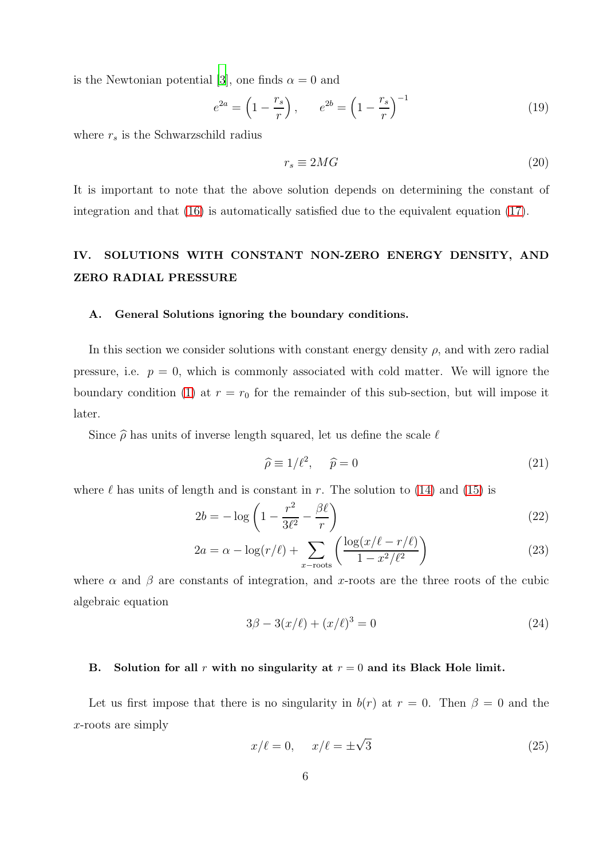is the Newtonian potential [\[3](#page-15-2)], one finds  $\alpha = 0$  and

$$
e^{2a} = \left(1 - \frac{r_s}{r}\right), \qquad e^{2b} = \left(1 - \frac{r_s}{r}\right)^{-1}
$$
 (19)

where  $r_s$  is the Schwarzschild radius

$$
r_s \equiv 2MG \tag{20}
$$

It is important to note that the above solution depends on determining the constant of integration and that [\(16\)](#page-4-0) is automatically satisfied due to the equivalent equation [\(17\)](#page-4-1).

# <span id="page-5-0"></span>IV. SOLUTIONS WITH CONSTANT NON-ZERO ENERGY DENSITY, AND ZERO RADIAL PRESSURE

#### A. General Solutions ignoring the boundary conditions.

In this section we consider solutions with constant energy density  $\rho$ , and with zero radial pressure, i.e.  $p = 0$ , which is commonly associated with cold matter. We will ignore the boundary condition [\(1\)](#page-1-0) at  $r = r_0$  for the remainder of this sub-section, but will impose it later.

Since  $\hat{\rho}$  has units of inverse length squared, let us define the scale  $\ell$ 

$$
\widehat{\rho} \equiv 1/\ell^2, \quad \widehat{p} = 0 \tag{21}
$$

where  $\ell$  has units of length and is constant in r. The solution to [\(14\)](#page-4-0) and [\(15\)](#page-4-0) is

<span id="page-5-2"></span>
$$
2b = -\log\left(1 - \frac{r^2}{3\ell^2} - \frac{\beta\ell}{r}\right) \tag{22}
$$

$$
2a = \alpha - \log(r/\ell) + \sum_{x-\text{roots}} \left( \frac{\log(x/\ell - r/\ell)}{1 - x^2/\ell^2} \right) \tag{23}
$$

where  $\alpha$  and  $\beta$  are constants of integration, and x-roots are the three roots of the cubic algebraic equation

<span id="page-5-1"></span>
$$
3\beta - 3(x/\ell) + (x/\ell)^3 = 0
$$
\n(24)

### B. Solution for all r with no singularity at  $r = 0$  and its Black Hole limit.

Let us first impose that there is no singularity in  $b(r)$  at  $r = 0$ . Then  $\beta = 0$  and the x-roots are simply

$$
x/\ell = 0, \quad x/\ell = \pm\sqrt{3}
$$
 (25)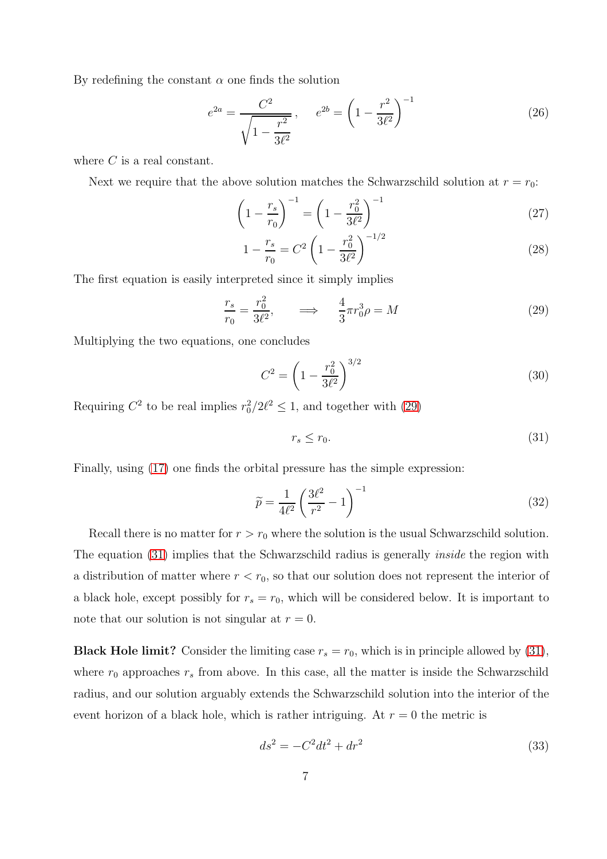By redefining the constant  $\alpha$  one finds the solution

$$
e^{2a} = \frac{C^2}{\sqrt{1 - \frac{r^2}{3\ell^2}}}, \qquad e^{2b} = \left(1 - \frac{r^2}{3\ell^2}\right)^{-1}
$$
(26)

where  $C$  is a real constant.

Next we require that the above solution matches the Schwarzschild solution at  $r = r_0$ :

$$
\left(1 - \frac{r_s}{r_0}\right)^{-1} = \left(1 - \frac{r_0^2}{3\ell^2}\right)^{-1} \tag{27}
$$

$$
1 - \frac{r_s}{r_0} = C^2 \left( 1 - \frac{r_0^2}{3\ell^2} \right)^{-1/2} \tag{28}
$$

The first equation is easily interpreted since it simply implies

<span id="page-6-0"></span>
$$
\frac{r_s}{r_0} = \frac{r_0^2}{3\ell^2}, \qquad \Longrightarrow \qquad \frac{4}{3}\pi r_0^3 \rho = M \tag{29}
$$

Multiplying the two equations, one concludes

<span id="page-6-2"></span>
$$
C^2 = \left(1 - \frac{r_0^2}{3\ell^2}\right)^{3/2} \tag{30}
$$

Requiring  $C^2$  to be real implies  $r_0^2/2\ell^2 \leq 1$ , and together with [\(29\)](#page-6-0)

<span id="page-6-1"></span>
$$
r_s \le r_0. \tag{31}
$$

Finally, using [\(17\)](#page-4-1) one finds the orbital pressure has the simple expression:

$$
\widetilde{p} = \frac{1}{4\ell^2} \left(\frac{3\ell^2}{r^2} - 1\right)^{-1} \tag{32}
$$

Recall there is no matter for  $r > r_0$  where the solution is the usual Schwarzschild solution. The equation [\(31\)](#page-6-1) implies that the Schwarzschild radius is generally *inside* the region with a distribution of matter where  $r < r_0$ , so that our solution does not represent the interior of a black hole, except possibly for  $r_s = r_0$ , which will be considered below. It is important to note that our solution is not singular at  $r = 0$ .

**Black Hole limit?** Consider the limiting case  $r_s = r_0$ , which is in principle allowed by [\(31\)](#page-6-1), where  $r_0$  approaches  $r_s$  from above. In this case, all the matter is inside the Schwarzschild radius, and our solution arguably extends the Schwarzschild solution into the interior of the event horizon of a black hole, which is rather intriguing. At  $r = 0$  the metric is

$$
ds^2 = -C^2 dt^2 + dr^2 \tag{33}
$$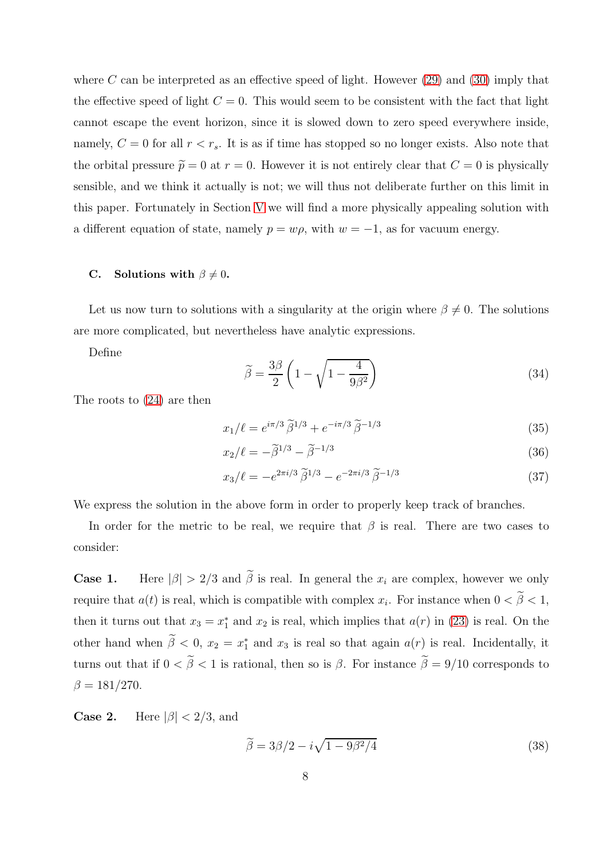where C can be interpreted as an effective speed of light. However  $(29)$  and  $(30)$  imply that the effective speed of light  $C = 0$ . This would seem to be consistent with the fact that light cannot escape the event horizon, since it is slowed down to zero speed everywhere inside, namely,  $C = 0$  for all  $r < r_s$ . It is as if time has stopped so no longer exists. Also note that the orbital pressure  $\tilde{p} = 0$  at  $r = 0$ . However it is not entirely clear that  $C = 0$  is physically sensible, and we think it actually is not; we will thus not deliberate further on this limit in this paper. Fortunately in Section [V](#page-9-0) we will find a more physically appealing solution with a different equation of state, namely  $p = w\rho$ , with  $w = -1$ , as for vacuum energy.

# C. Solutions with  $\beta \neq 0$ .

Let us now turn to solutions with a singularity at the origin where  $\beta \neq 0$ . The solutions are more complicated, but nevertheless have analytic expressions.

Define

$$
\widetilde{\beta} = \frac{3\beta}{2} \left( 1 - \sqrt{1 - \frac{4}{9\beta^2}} \right) \tag{34}
$$

The roots to [\(24\)](#page-5-1) are then

$$
x_1/\ell = e^{i\pi/3} \tilde{\beta}^{1/3} + e^{-i\pi/3} \tilde{\beta}^{-1/3}
$$
 (35)

$$
x_2/\ell = -\tilde{\beta}^{1/3} - \tilde{\beta}^{-1/3} \tag{36}
$$

$$
x_3/\ell = -e^{2\pi i/3} \tilde{\beta}^{1/3} - e^{-2\pi i/3} \tilde{\beta}^{-1/3}
$$
 (37)

We express the solution in the above form in order to properly keep track of branches.

In order for the metric to be real, we require that  $\beta$  is real. There are two cases to consider:

**Case 1.** Here  $|\beta| > 2/3$  and  $\tilde{\beta}$  is real. In general the  $x_i$  are complex, however we only require that  $a(t)$  is real, which is compatible with complex  $x_i$ . For instance when  $0 < \beta < 1$ , then it turns out that  $x_3 = x_1^*$  $_1^*$  and  $x_2$  is real, which implies that  $a(r)$  in [\(23\)](#page-5-2) is real. On the other hand when  $\tilde{\beta} < 0$ ,  $x_2 = x_1^*$  and  $x_3$  is real so that again  $a(r)$  is real. Incidentally, it turns out that if  $0 < \tilde{\beta} < 1$  is rational, then so is  $\beta$ . For instance  $\tilde{\beta} = 9/10$  corresponds to  $\beta = 181/270.$ 

**Case 2.** Here  $|\beta| < 2/3$ , and

$$
\tilde{\beta} = 3\beta/2 - i\sqrt{1 - 9\beta^2/4} \tag{38}
$$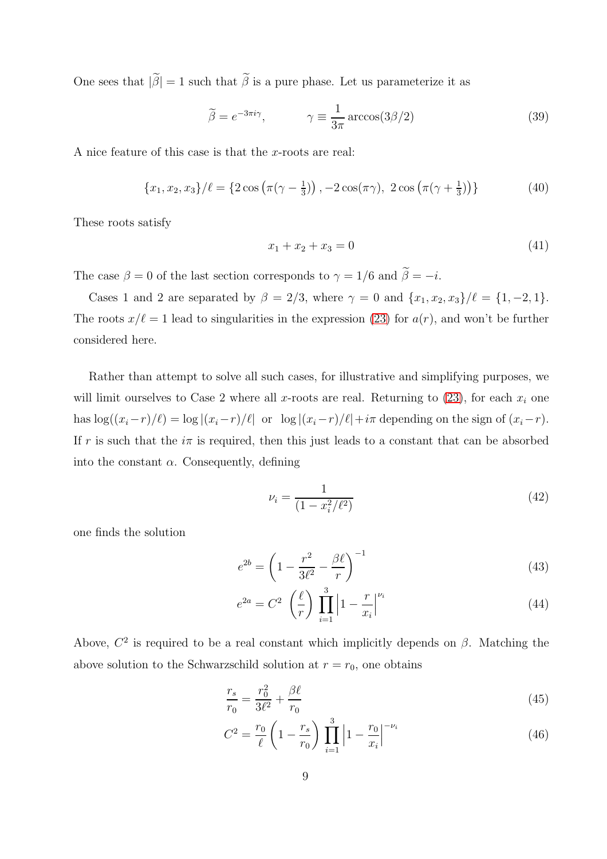One sees that  $|\widetilde{\beta}| = 1$  such that  $\widetilde{\beta}$  is a pure phase. Let us parameterize it as

$$
\tilde{\beta} = e^{-3\pi i \gamma}, \qquad \gamma \equiv \frac{1}{3\pi} \arccos(3\beta/2) \tag{39}
$$

A nice feature of this case is that the x-roots are real:

$$
\{x_1, x_2, x_3\}/\ell = \{2\cos\left(\pi(\gamma - \frac{1}{3})\right), -2\cos(\pi\gamma), 2\cos\left(\pi(\gamma + \frac{1}{3})\right)\}\
$$
(40)

These roots satisfy

$$
x_1 + x_2 + x_3 = 0 \tag{41}
$$

The case  $\beta = 0$  of the last section corresponds to  $\gamma = 1/6$  and  $\tilde{\beta} = -i$ .

Cases 1 and 2 are separated by  $\beta = 2/3$ , where  $\gamma = 0$  and  $\{x_1, x_2, x_3\}/\ell = \{1, -2, 1\}.$ The roots  $x/\ell = 1$  lead to singularities in the expression [\(23\)](#page-5-2) for  $a(r)$ , and won't be further considered here.

Rather than attempt to solve all such cases, for illustrative and simplifying purposes, we will limit ourselves to Case 2 where all x-roots are real. Returning to  $(23)$ , for each  $x_i$  one has  $\log((x_i-r)/\ell) = \log |(x_i-r)/\ell|$  or  $\log |(x_i-r)/\ell| + i\pi$  depending on the sign of  $(x_i-r)$ . If r is such that the  $i\pi$  is required, then this just leads to a constant that can be absorbed into the constant  $\alpha$ . Consequently, defining

$$
\nu_i = \frac{1}{(1 - x_i^2/\ell^2)}\tag{42}
$$

one finds the solution

<span id="page-8-0"></span>
$$
e^{2b} = \left(1 - \frac{r^2}{3\ell^2} - \frac{\beta\ell}{r}\right)^{-1}
$$
\n(43)

$$
e^{2a} = C^2 \left(\frac{\ell}{r}\right) \prod_{i=1}^3 \left|1 - \frac{r}{x_i}\right|^{\nu_i}
$$
\n
$$
(44)
$$

Above,  $C^2$  is required to be a real constant which implicitly depends on  $\beta$ . Matching the above solution to the Schwarzschild solution at  $r = r_0$ , one obtains

<span id="page-8-1"></span>
$$
\frac{r_s}{r_0} = \frac{r_0^2}{3\ell^2} + \frac{\beta\ell}{r_0}
$$
\n(45)

$$
C^{2} = \frac{r_{0}}{\ell} \left( 1 - \frac{r_{s}}{r_{0}} \right) \prod_{i=1}^{3} \left| 1 - \frac{r_{0}}{x_{i}} \right|^{-\nu_{i}}
$$
(46)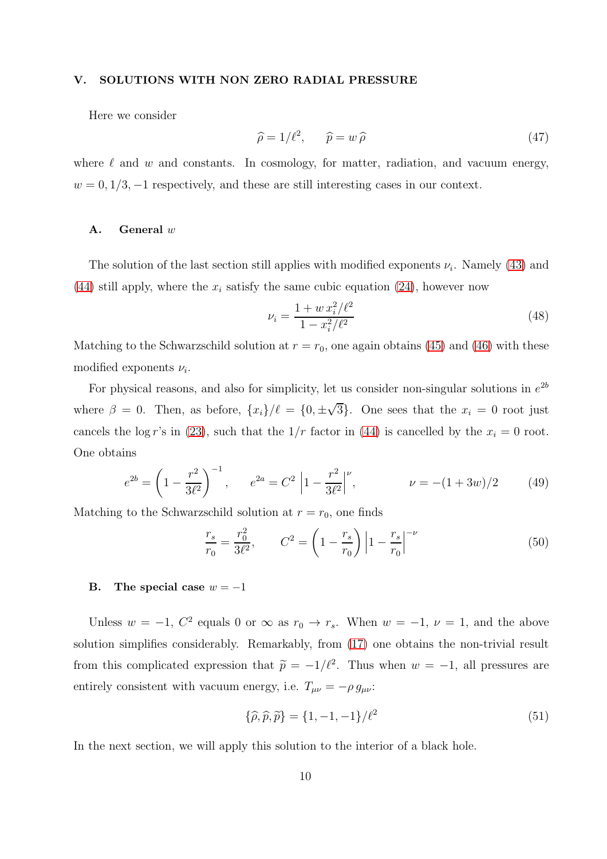#### <span id="page-9-0"></span>V. SOLUTIONS WITH NON ZERO RADIAL PRESSURE

Here we consider

$$
\widehat{\rho} = 1/\ell^2, \qquad \widehat{p} = w \,\widehat{\rho} \tag{47}
$$

where  $\ell$  and  $w$  and constants. In cosmology, for matter, radiation, and vacuum energy,  $w = 0, 1/3, -1$  respectively, and these are still interesting cases in our context.

# A. General w

The solution of the last section still applies with modified exponents  $\nu_i$ . Namely [\(43\)](#page-8-0) and [\(44\)](#page-8-0) still apply, where the  $x_i$  satisfy the same cubic equation [\(24\)](#page-5-1), however now

$$
\nu_i = \frac{1 + w x_i^2 / \ell^2}{1 - x_i^2 / \ell^2} \tag{48}
$$

Matching to the Schwarzschild solution at  $r = r_0$ , one again obtains [\(45\)](#page-8-1) and [\(46\)](#page-8-1) with these modified exponents  $\nu_i$ .

For physical reasons, and also for simplicity, let us consider non-singular solutions in  $e^{2b}$ where  $\beta = 0$ . Then, as before,  $\{x_i\}/\ell = \{0, \pm \sqrt{3}\}\$ . One sees that the  $x_i = 0$  root just cancels the log r's in [\(23\)](#page-5-2), such that the  $1/r$  factor in [\(44\)](#page-8-0) is cancelled by the  $x<sub>i</sub> = 0$  root. One obtains

$$
e^{2b} = \left(1 - \frac{r^2}{3\ell^2}\right)^{-1}, \qquad e^{2a} = C^2 \left|1 - \frac{r^2}{3\ell^2}\right|^\nu, \qquad \nu = -(1+3w)/2 \tag{49}
$$

Matching to the Schwarzschild solution at  $r = r_0$ , one finds

$$
\frac{r_s}{r_0} = \frac{r_0^2}{3\ell^2}, \qquad C^2 = \left(1 - \frac{r_s}{r_0}\right) \left|1 - \frac{r_s}{r_0}\right|^{-\nu}
$$
(50)

## B. The special case  $w = -1$

Unless  $w = -1$ ,  $C^2$  equals 0 or  $\infty$  as  $r_0 \to r_s$ . When  $w = -1$ ,  $\nu = 1$ , and the above solution simplifies considerably. Remarkably, from [\(17\)](#page-4-1) one obtains the non-trivial result from this complicated expression that  $\tilde{p} = -1/\ell^2$ . Thus when  $w = -1$ , all pressures are entirely consistent with vacuum energy, i.e.  $T_{\mu\nu} = -\rho g_{\mu\nu}$ :

<span id="page-9-1"></span>
$$
\{\hat{\rho}, \hat{p}, \tilde{p}\} = \{1, -1, -1\}/\ell^2 \tag{51}
$$

In the next section, we will apply this solution to the interior of a black hole.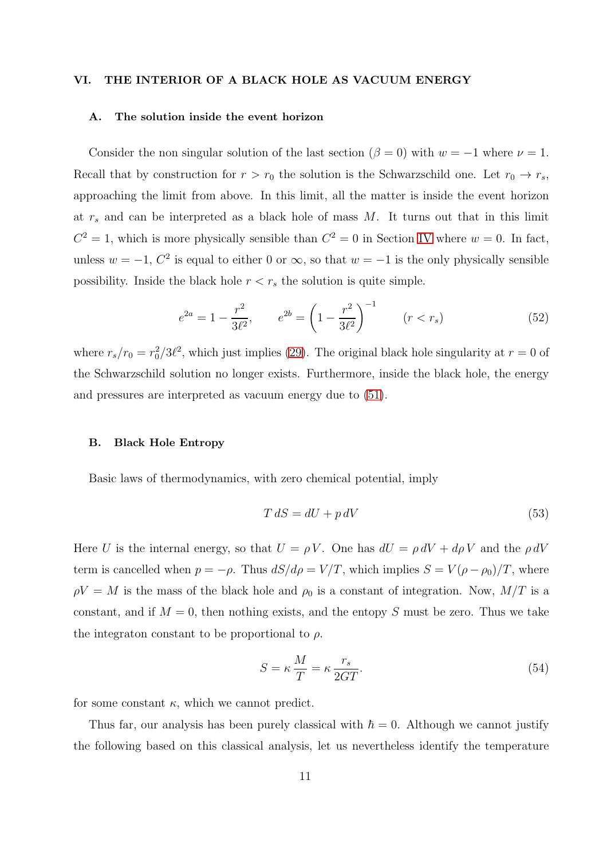#### <span id="page-10-0"></span>VI. THE INTERIOR OF A BLACK HOLE AS VACUUM ENERGY

### A. The solution inside the event horizon

Consider the non singular solution of the last section ( $\beta = 0$ ) with  $w = -1$  where  $\nu = 1$ . Recall that by construction for  $r > r_0$  the solution is the Schwarzschild one. Let  $r_0 \rightarrow r_s$ , approaching the limit from above. In this limit, all the matter is inside the event horizon at  $r_s$  and can be interpreted as a black hole of mass M. It turns out that in this limit  $C^2 = 1$ , which is more physically sensible than  $C^2 = 0$  in Section [IV](#page-5-0) where  $w = 0$ . In fact, unless  $w = -1$ ,  $C^2$  is equal to either 0 or  $\infty$ , so that  $w = -1$  is the only physically sensible possibility. Inside the black hole  $r < r_s$  the solution is quite simple.

$$
e^{2a} = 1 - \frac{r^2}{3\ell^2}, \qquad e^{2b} = \left(1 - \frac{r^2}{3\ell^2}\right)^{-1} \qquad (r < r_s) \tag{52}
$$

where  $r_s/r_0 = r_0^2/3\ell^2$ , which just implies [\(29\)](#page-6-0). The original black hole singularity at  $r = 0$  of the Schwarzschild solution no longer exists. Furthermore, inside the black hole, the energy and pressures are interpreted as vacuum energy due to [\(51\)](#page-9-1).

#### B. Black Hole Entropy

Basic laws of thermodynamics, with zero chemical potential, imply

$$
T dS = dU + p dV \tag{53}
$$

Here U is the internal energy, so that  $U = \rho V$ . One has  $dU = \rho dV + d\rho V$  and the  $\rho dV$ term is cancelled when  $p = -\rho$ . Thus  $dS/d\rho = V/T$ , which implies  $S = V(\rho - \rho_0)/T$ , where  $\rho V = M$  is the mass of the black hole and  $\rho_0$  is a constant of integration. Now,  $M/T$  is a constant, and if  $M = 0$ , then nothing exists, and the entopy S must be zero. Thus we take the integraton constant to be proportional to  $\rho$ .

<span id="page-10-1"></span>
$$
S = \kappa \frac{M}{T} = \kappa \frac{r_s}{2GT}.
$$
\n(54)

for some constant  $\kappa$ , which we cannot predict.

Thus far, our analysis has been purely classical with  $\hbar = 0$ . Although we cannot justify the following based on this classical analysis, let us nevertheless identify the temperature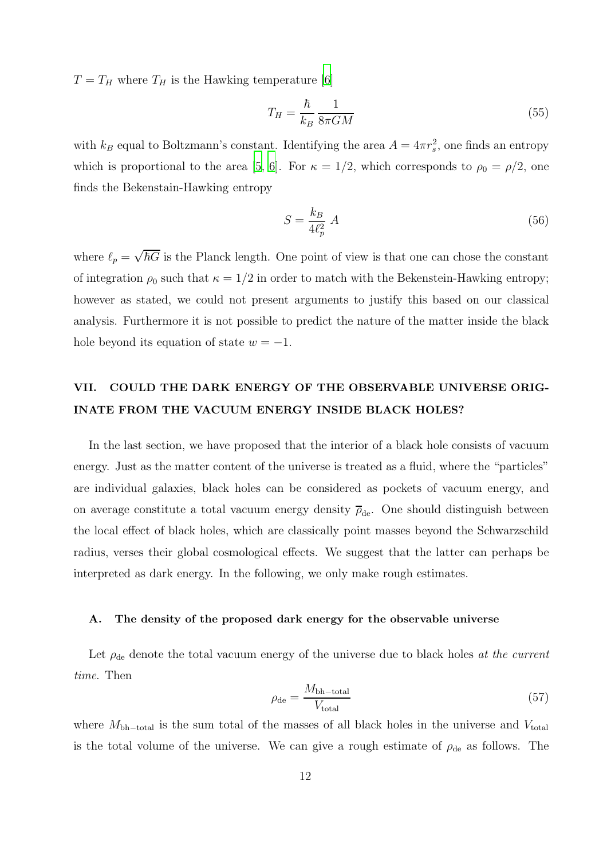$T = T_H$  where  $T_H$  is the Hawking temperature [\[6\]](#page-15-3)

$$
T_H = \frac{\hbar}{k_B} \frac{1}{8\pi GM} \tag{55}
$$

with  $k_B$  equal to Boltzmann's constant. Identifying the area  $A = 4\pi r_s^2$ , one finds an entropy which is proportional to the area [\[5](#page-15-4), [6\]](#page-15-3). For  $\kappa = 1/2$ , which corresponds to  $\rho_0 = \rho/2$ , one finds the Bekenstain-Hawking entropy

$$
S = \frac{k_B}{4\ell_p^2} A \tag{56}
$$

where  $\ell_p = \sqrt{\hbar G}$  is the Planck length. One point of view is that one can chose the constant of integration  $\rho_0$  such that  $\kappa = 1/2$  in order to match with the Bekenstein-Hawking entropy; however as stated, we could not present arguments to justify this based on our classical analysis. Furthermore it is not possible to predict the nature of the matter inside the black hole beyond its equation of state  $w = -1$ .

# <span id="page-11-0"></span>VII. COULD THE DARK ENERGY OF THE OBSERVABLE UNIVERSE ORIG-INATE FROM THE VACUUM ENERGY INSIDE BLACK HOLES?

In the last section, we have proposed that the interior of a black hole consists of vacuum energy. Just as the matter content of the universe is treated as a fluid, where the "particles" are individual galaxies, black holes can be considered as pockets of vacuum energy, and on average constitute a total vacuum energy density  $\bar{\rho}_{de}$ . One should distinguish between the local effect of black holes, which are classically point masses beyond the Schwarzschild radius, verses their global cosmological effects. We suggest that the latter can perhaps be interpreted as dark energy. In the following, we only make rough estimates.

# A. The density of the proposed dark energy for the observable universe

Let  $\rho_{de}$  denote the total vacuum energy of the universe due to black holes at the current time. Then

$$
\rho_{\rm de} = \frac{M_{\rm bh-total}}{V_{\rm total}}\tag{57}
$$

where  $M_{\rm bh-total}$  is the sum total of the masses of all black holes in the universe and  $V_{\rm total}$ is the total volume of the universe. We can give a rough estimate of  $\rho_{de}$  as follows. The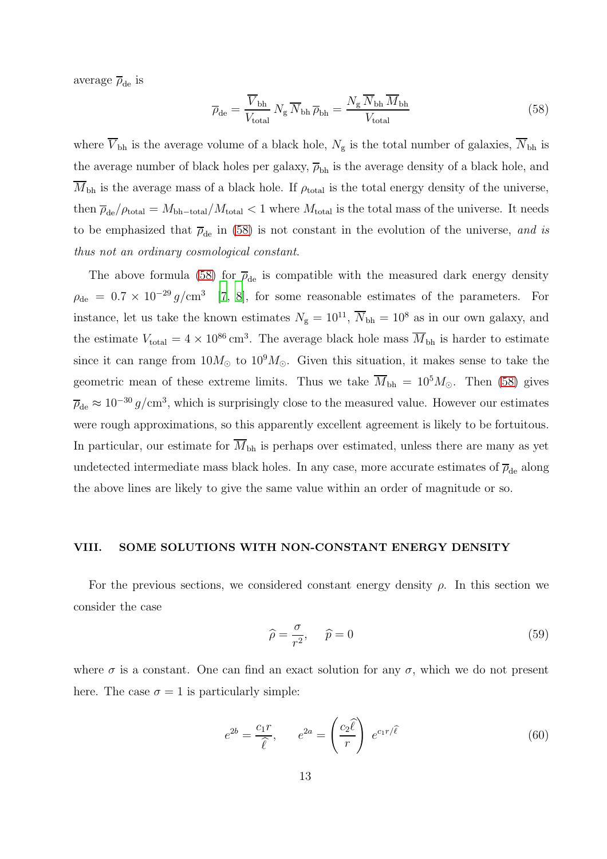average  $\overline{\rho}_{\rm de}$  is

<span id="page-12-1"></span>
$$
\overline{\rho}_{\rm de} = \frac{\overline{V}_{\rm bh}}{V_{\rm total}} N_{\rm g} \overline{N}_{\rm bh} \overline{\rho}_{\rm bh} = \frac{N_{\rm g} \overline{N}_{\rm bh} \overline{M}_{\rm bh}}{V_{\rm total}}
$$
\n(58)

where  $\overline{V}_{bh}$  is the average volume of a black hole,  $N_g$  is the total number of galaxies,  $\overline{N}_{bh}$  is the average number of black holes per galaxy,  $\overline{\rho}_{bh}$  is the average density of a black hole, and  $M_{\rm bh}$  is the average mass of a black hole. If  $\rho_{\rm total}$  is the total energy density of the universe, then  $\overline{\rho}_{de}/\rho_{total} = M_{bh-total}/M_{total} < 1$  where  $M_{total}$  is the total mass of the universe. It needs to be emphasized that  $\bar{\rho}_{de}$  in [\(58\)](#page-12-1) is not constant in the evolution of the universe, and is thus not an ordinary cosmological constant.

The above formula [\(58\)](#page-12-1) for  $\bar{\rho}_{de}$  is compatible with the measured dark energy density  $\rho_{\rm de} = 0.7 \times 10^{-29} g/cm^3$  [\[7](#page-15-5), [8](#page-15-6)], for some reasonable estimates of the parameters. For instance, let us take the known estimates  $N_{\rm g} = 10^{11}$ ,  $\overline{N}_{\rm bh} = 10^8$  as in our own galaxy, and the estimate  $V_{\text{total}} = 4 \times 10^{86} \text{ cm}^3$ . The average black hole mass  $\overline{M}_{\text{bh}}$  is harder to estimate since it can range from  $10M_{\odot}$  to  $10^{9}M_{\odot}$ . Given this situation, it makes sense to take the geometric mean of these extreme limits. Thus we take  $\overline{M}_{bh} = 10^5 M_{\odot}$ . Then [\(58\)](#page-12-1) gives  $\overline{\rho}_{\rm de} \approx 10^{-30} g/{\rm cm}^3$ , which is surprisingly close to the measured value. However our estimates were rough approximations, so this apparently excellent agreement is likely to be fortuitous. In particular, our estimate for  $\overline{M}_{bh}$  is perhaps over estimated, unless there are many as yet undetected intermediate mass black holes. In any case, more accurate estimates of  $\overline{\rho}_{\rm de}$  along the above lines are likely to give the same value within an order of magnitude or so.

## <span id="page-12-0"></span>VIII. SOME SOLUTIONS WITH NON-CONSTANT ENERGY DENSITY

For the previous sections, we considered constant energy density  $\rho$ . In this section we consider the case

$$
\widehat{\rho} = \frac{\sigma}{r^2}, \qquad \widehat{p} = 0 \tag{59}
$$

where  $\sigma$  is a constant. One can find an exact solution for any  $\sigma$ , which we do not present here. The case  $\sigma = 1$  is particularly simple:

$$
e^{2b} = \frac{c_1 r}{\hat{\ell}}, \qquad e^{2a} = \left(\frac{c_2 \hat{\ell}}{r}\right) e^{c_1 r/\hat{\ell}} \tag{60}
$$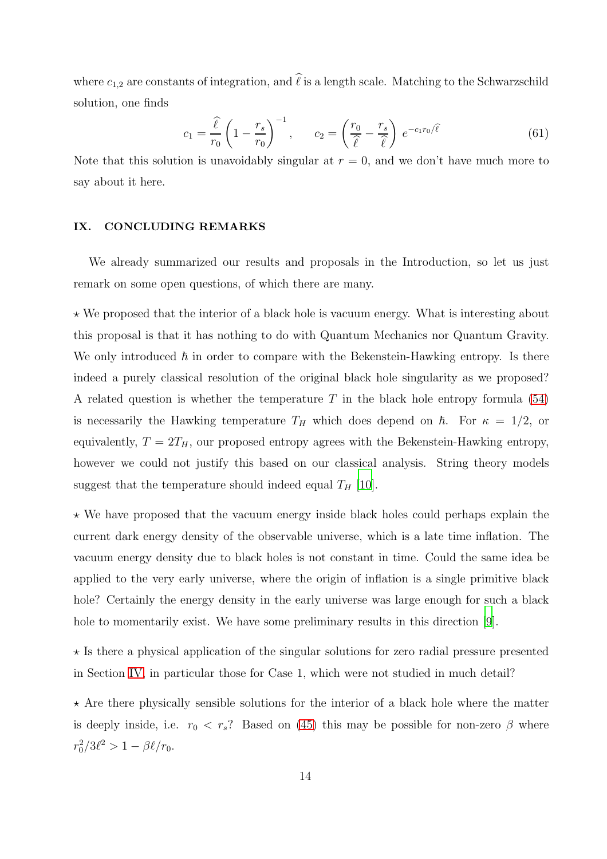where  $c_{1,2}$  are constants of integration, and  $\ell$  is a length scale. Matching to the Schwarzschild solution, one finds

$$
c_1 = \frac{\widehat{\ell}}{r_0} \left( 1 - \frac{r_s}{r_0} \right)^{-1}, \qquad c_2 = \left( \frac{r_0}{\widehat{\ell}} - \frac{r_s}{\widehat{\ell}} \right) e^{-c_1 r_0/\widehat{\ell}} \tag{61}
$$

Note that this solution is unavoidably singular at  $r = 0$ , and we don't have much more to say about it here.

# IX. CONCLUDING REMARKS

We already summarized our results and proposals in the Introduction, so let us just remark on some open questions, of which there are many.

 $\star$  We proposed that the interior of a black hole is vacuum energy. What is interesting about this proposal is that it has nothing to do with Quantum Mechanics nor Quantum Gravity. We only introduced  $\hbar$  in order to compare with the Bekenstein-Hawking entropy. Is there indeed a purely classical resolution of the original black hole singularity as we proposed? A related question is whether the temperature  $T$  in the black hole entropy formula [\(54\)](#page-10-1) is necessarily the Hawking temperature  $T_H$  which does depend on  $\hbar$ . For  $\kappa = 1/2$ , or equivalently,  $T = 2T_H$ , our proposed entropy agrees with the Bekenstein-Hawking entropy, however we could not justify this based on our classical analysis. String theory models suggest that the temperature should indeed equal  $T_H$  [\[10](#page-15-7)].

 $\star$  We have proposed that the vacuum energy inside black holes could perhaps explain the current dark energy density of the observable universe, which is a late time inflation. The vacuum energy density due to black holes is not constant in time. Could the same idea be applied to the very early universe, where the origin of inflation is a single primitive black hole? Certainly the energy density in the early universe was large enough for such a black hole to momentarily exist. We have some preliminary results in this direction [\[9](#page-15-8)].

 $\star$  Is there a physical application of the singular solutions for zero radial pressure presented in Section [IV,](#page-5-0) in particular those for Case 1, which were not studied in much detail?

 $\star$  Are there physically sensible solutions for the interior of a black hole where the matter is deeply inside, i.e.  $r_0 < r_s$ ? Based on [\(45\)](#page-8-1) this may be possible for non-zero  $\beta$  where  $r_0^2/3\ell^2 > 1 - \beta\ell/r_0.$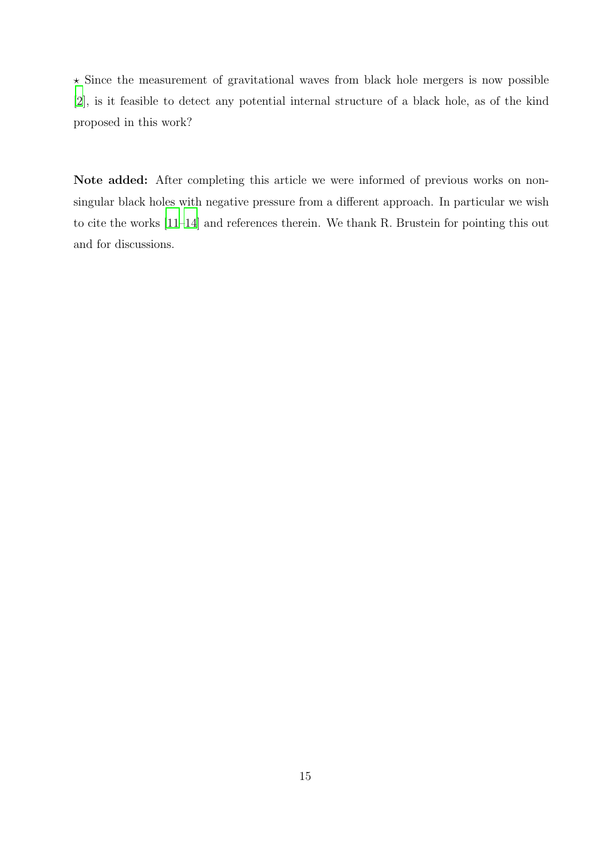$\star$  Since the measurement of gravitational waves from black hole mergers is now possible [\[2](#page-15-1)], is it feasible to detect any potential internal structure of a black hole, as of the kind proposed in this work?

Note added: After completing this article we were informed of previous works on nonsingular black holes with negative pressure from a different approach. In particular we wish to cite the works [\[11](#page-15-9)[–14](#page-15-10)] and references therein. We thank R. Brustein for pointing this out and for discussions.